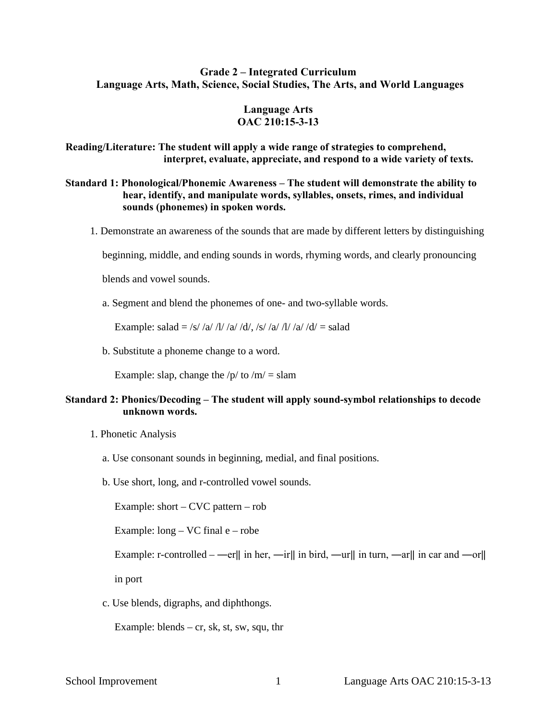## **Grade 2 – Integrated Curriculum Language Arts, Math, Science, Social Studies, The Arts, and World Languages**

#### **Language Arts OAC 210:15-3-13**

## **Reading/Literature: The student will apply a wide range of strategies to comprehend, interpret, evaluate, appreciate, and respond to a wide variety of texts.**

## **Standard 1: Phonological/Phonemic Awareness – The student will demonstrate the ability to hear, identify, and manipulate words, syllables, onsets, rimes, and individual sounds (phonemes) in spoken words.**

1. Demonstrate an awareness of the sounds that are made by different letters by distinguishing

beginning, middle, and ending sounds in words, rhyming words, and clearly pronouncing

blends and vowel sounds.

a. Segment and blend the phonemes of one- and two-syllable words.

Example: salad = /s/ /a/ /l/ /a/ /d/, /s/ /a/ /l/ /a/ /d/ = salad

b. Substitute a phoneme change to a word.

Example: slap, change the  $/p/$  to  $/m/ =$  slam

## **Standard 2: Phonics/Decoding – The student will apply sound-symbol relationships to decode unknown words.**

- 1. Phonetic Analysis
	- a. Use consonant sounds in beginning, medial, and final positions.
	- b. Use short, long, and r-controlled vowel sounds.

Example: short – CVC pattern – rob

Example: long – VC final e – robe

Example: r-controlled – —er|| in her, —ir|| in bird, —ur|| in turn, —ar|| in car and —or||

in port

c. Use blends, digraphs, and diphthongs.

Example: blends – cr, sk, st, sw, squ, thr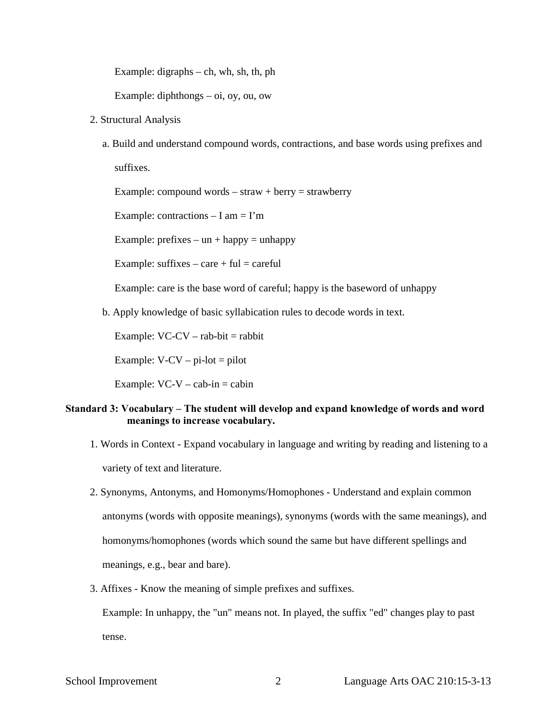Example: digraphs – ch, wh, sh, th, ph

Example: diphthongs – oi, oy, ou, ow

- 2. Structural Analysis
	- a. Build and understand compound words, contractions, and base words using prefixes and suffixes.

Example: compound words – straw + berry = strawberry

Example: contractions  $- I$  am  $= I'm$ 

Example: prefixes – un + happy = unhappy

Example: suffixes – care + ful = careful

Example: care is the base word of careful; happy is the baseword of unhappy

b. Apply knowledge of basic syllabication rules to decode words in text.

Example:  $VC-CV - rab-bit = rabbit$ 

Example:  $V$ -CV – pi-lot = pilot

Example:  $VC-V - cab-in = cabin$ 

## **Standard 3: Vocabulary – The student will develop and expand knowledge of words and word meanings to increase vocabulary.**

- 1. Words in Context Expand vocabulary in language and writing by reading and listening to a variety of text and literature.
- 2. Synonyms, Antonyms, and Homonyms/Homophones Understand and explain common antonyms (words with opposite meanings), synonyms (words with the same meanings), and homonyms/homophones (words which sound the same but have different spellings and meanings, e.g., bear and bare).
- 3. Affixes Know the meaning of simple prefixes and suffixes.

Example: In unhappy, the "un" means not. In played, the suffix "ed" changes play to past tense.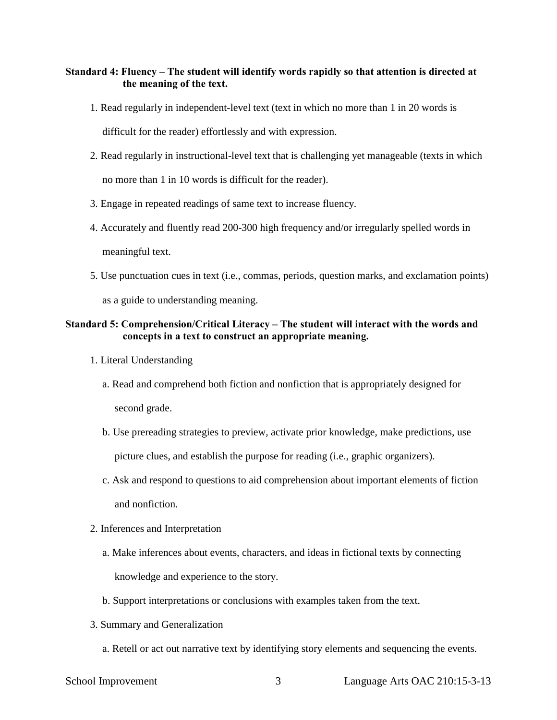## **Standard 4: Fluency – The student will identify words rapidly so that attention is directed at the meaning of the text.**

1. Read regularly in independent-level text (text in which no more than 1 in 20 words is

difficult for the reader) effortlessly and with expression.

- 2. Read regularly in instructional-level text that is challenging yet manageable (texts in which no more than 1 in 10 words is difficult for the reader).
- 3. Engage in repeated readings of same text to increase fluency.
- 4. Accurately and fluently read 200-300 high frequency and/or irregularly spelled words in meaningful text.
- 5. Use punctuation cues in text (i.e., commas, periods, question marks, and exclamation points) as a guide to understanding meaning.

## **Standard 5: Comprehension/Critical Literacy – The student will interact with the words and concepts in a text to construct an appropriate meaning.**

- 1. Literal Understanding
	- a. Read and comprehend both fiction and nonfiction that is appropriately designed for second grade.
	- b. Use prereading strategies to preview, activate prior knowledge, make predictions, use picture clues, and establish the purpose for reading (i.e., graphic organizers).
	- c. Ask and respond to questions to aid comprehension about important elements of fiction and nonfiction.
- 2. Inferences and Interpretation
	- a. Make inferences about events, characters, and ideas in fictional texts by connecting knowledge and experience to the story.
	- b. Support interpretations or conclusions with examples taken from the text.
- 3. Summary and Generalization
	- a. Retell or act out narrative text by identifying story elements and sequencing the events.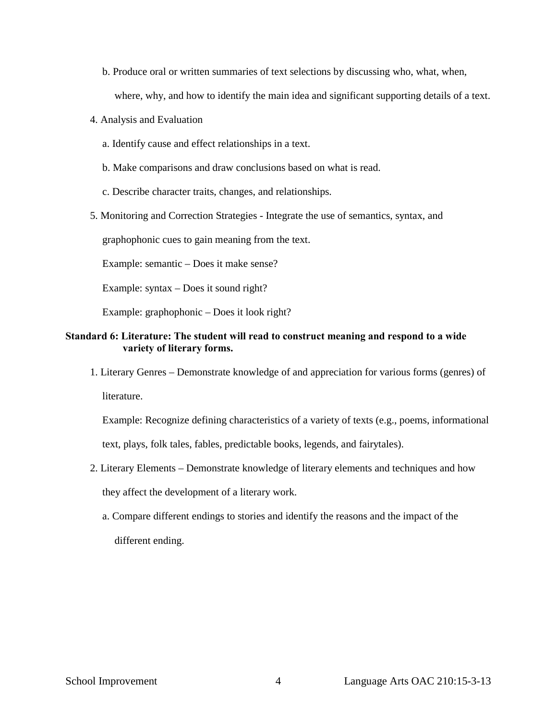- b. Produce oral or written summaries of text selections by discussing who, what, when, where, why, and how to identify the main idea and significant supporting details of a text.
- 4. Analysis and Evaluation
	- a. Identify cause and effect relationships in a text.
	- b. Make comparisons and draw conclusions based on what is read.
	- c. Describe character traits, changes, and relationships.
- 5. Monitoring and Correction Strategies Integrate the use of semantics, syntax, and

graphophonic cues to gain meaning from the text.

Example: semantic – Does it make sense?

Example: syntax – Does it sound right?

Example: graphophonic – Does it look right?

## **Standard 6: Literature: The student will read to construct meaning and respond to a wide variety of literary forms.**

1. Literary Genres – Demonstrate knowledge of and appreciation for various forms (genres) of literature.

Example: Recognize defining characteristics of a variety of texts (e.g., poems, informational text, plays, folk tales, fables, predictable books, legends, and fairytales).

- 2. Literary Elements Demonstrate knowledge of literary elements and techniques and how they affect the development of a literary work.
	- a. Compare different endings to stories and identify the reasons and the impact of the different ending.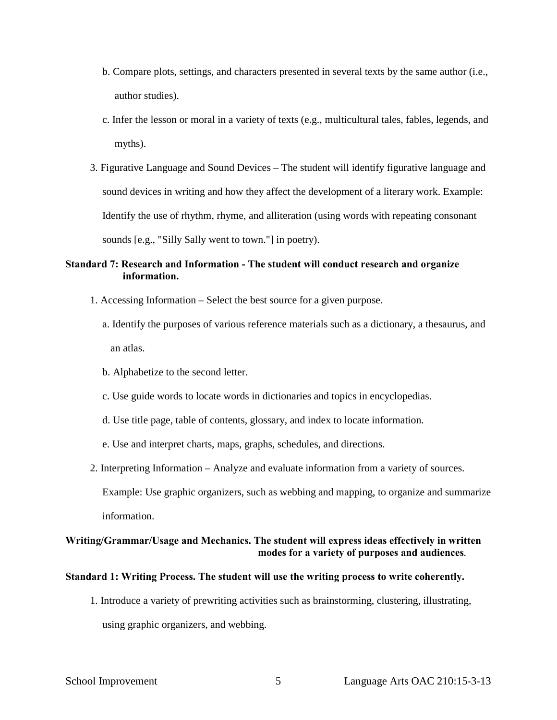- b. Compare plots, settings, and characters presented in several texts by the same author (i.e., author studies).
- c. Infer the lesson or moral in a variety of texts (e.g., multicultural tales, fables, legends, and myths).
- 3. Figurative Language and Sound Devices The student will identify figurative language and sound devices in writing and how they affect the development of a literary work. Example: Identify the use of rhythm, rhyme, and alliteration (using words with repeating consonant sounds [e.g., "Silly Sally went to town."] in poetry).

## **Standard 7: Research and Information - The student will conduct research and organize information.**

- 1. Accessing Information Select the best source for a given purpose.
	- a. Identify the purposes of various reference materials such as a dictionary, a thesaurus, and an atlas.
	- b. Alphabetize to the second letter.
	- c. Use guide words to locate words in dictionaries and topics in encyclopedias.
	- d. Use title page, table of contents, glossary, and index to locate information.
	- e. Use and interpret charts, maps, graphs, schedules, and directions.
- 2. Interpreting Information Analyze and evaluate information from a variety of sources.

Example: Use graphic organizers, such as webbing and mapping, to organize and summarize information.

## **Writing/Grammar/Usage and Mechanics. The student will express ideas effectively in written modes for a variety of purposes and audiences***.*

#### **Standard 1: Writing Process. The student will use the writing process to write coherently.**

1. Introduce a variety of prewriting activities such as brainstorming, clustering, illustrating, using graphic organizers, and webbing.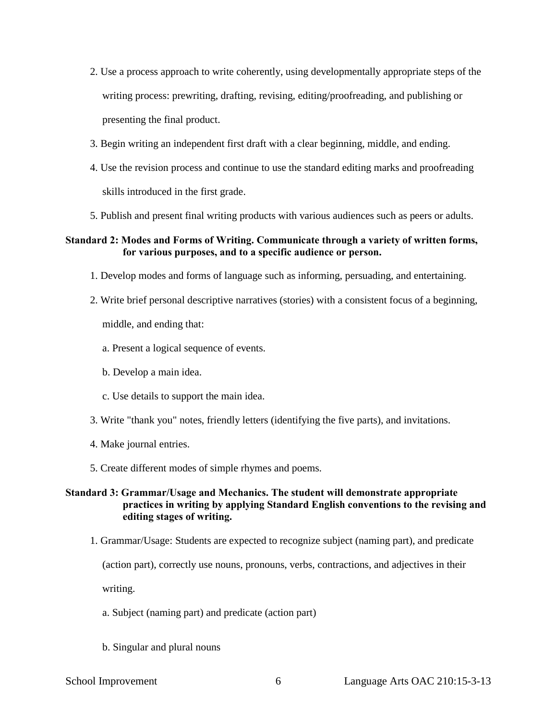- 2. Use a process approach to write coherently, using developmentally appropriate steps of the writing process: prewriting, drafting, revising, editing/proofreading, and publishing or presenting the final product.
- 3. Begin writing an independent first draft with a clear beginning, middle, and ending.
- 4. Use the revision process and continue to use the standard editing marks and proofreading skills introduced in the first grade.
- 5. Publish and present final writing products with various audiences such as peers or adults.

## **Standard 2: Modes and Forms of Writing. Communicate through a variety of written forms, for various purposes, and to a specific audience or person.**

- 1. Develop modes and forms of language such as informing, persuading, and entertaining.
- 2. Write brief personal descriptive narratives (stories) with a consistent focus of a beginning, middle, and ending that:
	- a. Present a logical sequence of events.
	- b. Develop a main idea.
	- c. Use details to support the main idea.
- 3. Write "thank you" notes, friendly letters (identifying the five parts), and invitations.
- 4. Make journal entries.
- 5. Create different modes of simple rhymes and poems.

## **Standard 3: Grammar/Usage and Mechanics. The student will demonstrate appropriate practices in writing by applying Standard English conventions to the revising and editing stages of writing.**

1. Grammar/Usage: Students are expected to recognize subject (naming part), and predicate

(action part), correctly use nouns, pronouns, verbs, contractions, and adjectives in their

writing.

- a. Subject (naming part) and predicate (action part)
- b. Singular and plural nouns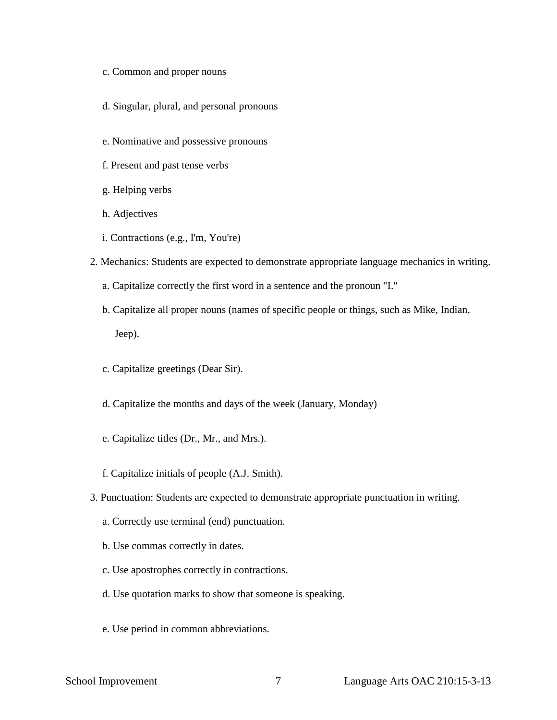- c. Common and proper nouns
- d. Singular, plural, and personal pronouns
- e. Nominative and possessive pronouns
- f. Present and past tense verbs
- g. Helping verbs
- h. Adjectives
- i. Contractions (e.g., I'm, You're)
- 2. Mechanics: Students are expected to demonstrate appropriate language mechanics in writing.
	- a. Capitalize correctly the first word in a sentence and the pronoun "I."
	- b. Capitalize all proper nouns (names of specific people or things, such as Mike, Indian, Jeep).
	- c. Capitalize greetings (Dear Sir).
	- d. Capitalize the months and days of the week (January, Monday)
	- e. Capitalize titles (Dr., Mr., and Mrs.).
	- f. Capitalize initials of people (A.J. Smith).
- 3. Punctuation: Students are expected to demonstrate appropriate punctuation in writing.
	- a. Correctly use terminal (end) punctuation.
	- b. Use commas correctly in dates.
	- c. Use apostrophes correctly in contractions.
	- d. Use quotation marks to show that someone is speaking.
	- e. Use period in common abbreviations.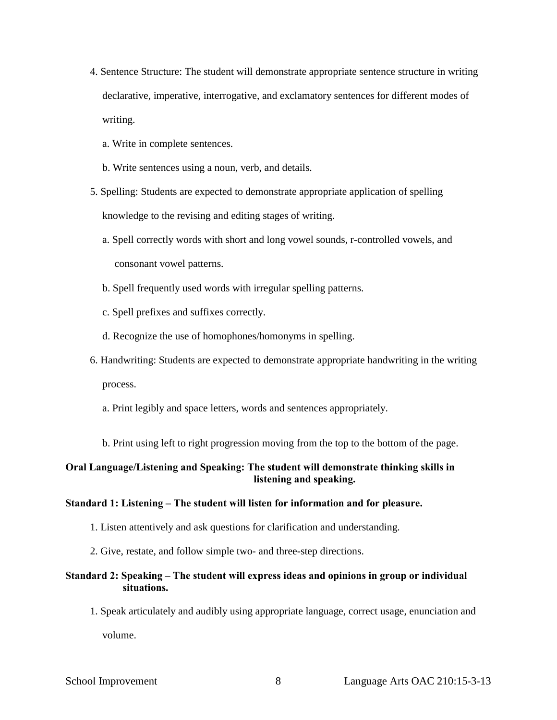- 4. Sentence Structure: The student will demonstrate appropriate sentence structure in writing declarative, imperative, interrogative, and exclamatory sentences for different modes of writing.
	- a. Write in complete sentences.
	- b. Write sentences using a noun, verb, and details.
- 5. Spelling: Students are expected to demonstrate appropriate application of spelling knowledge to the revising and editing stages of writing.
	- a. Spell correctly words with short and long vowel sounds, r-controlled vowels, and consonant vowel patterns.
	- b. Spell frequently used words with irregular spelling patterns.
	- c. Spell prefixes and suffixes correctly.
	- d. Recognize the use of homophones/homonyms in spelling.
- 6. Handwriting: Students are expected to demonstrate appropriate handwriting in the writing process.
	- a. Print legibly and space letters, words and sentences appropriately.
	- b. Print using left to right progression moving from the top to the bottom of the page.

## **Oral Language/Listening and Speaking: The student will demonstrate thinking skills in listening and speaking.**

#### **Standard 1: Listening – The student will listen for information and for pleasure.**

- 1. Listen attentively and ask questions for clarification and understanding.
- 2. Give, restate, and follow simple two- and three-step directions.

## **Standard 2: Speaking – The student will express ideas and opinions in group or individual situations.**

1. Speak articulately and audibly using appropriate language, correct usage, enunciation and volume.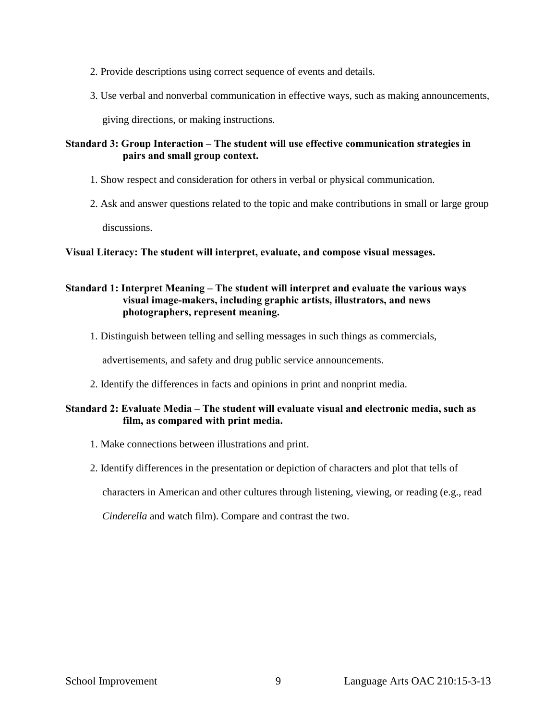- 2. Provide descriptions using correct sequence of events and details.
- 3. Use verbal and nonverbal communication in effective ways, such as making announcements,

giving directions, or making instructions.

## **Standard 3: Group Interaction – The student will use effective communication strategies in pairs and small group context.**

- 1. Show respect and consideration for others in verbal or physical communication.
- 2. Ask and answer questions related to the topic and make contributions in small or large group discussions.

## **Visual Literacy: The student will interpret, evaluate, and compose visual messages.**

## **Standard 1: Interpret Meaning – The student will interpret and evaluate the various ways visual image-makers, including graphic artists, illustrators, and news photographers, represent meaning.**

1. Distinguish between telling and selling messages in such things as commercials,

advertisements, and safety and drug public service announcements.

2. Identify the differences in facts and opinions in print and nonprint media.

## **Standard 2: Evaluate Media – The student will evaluate visual and electronic media, such as film, as compared with print media.**

- 1. Make connections between illustrations and print.
- 2. Identify differences in the presentation or depiction of characters and plot that tells of

characters in American and other cultures through listening, viewing, or reading (e.g., read

*Cinderella* and watch film). Compare and contrast the two.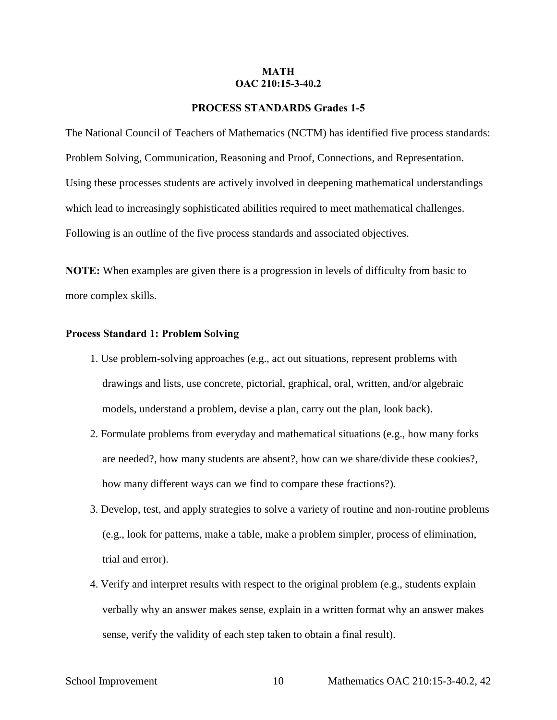#### **MATH OAC 210:15-3-40.2**

#### **PROCESS STANDARDS Grades 1-5**

The National Council of Teachers of Mathematics (NCTM) has identified five process standards: Problem Solving, Communication, Reasoning and Proof, Connections, and Representation. Using these processes students are actively involved in deepening mathematical understandings which lead to increasingly sophisticated abilities required to meet mathematical challenges. Following is an outline of the five process standards and associated objectives.

**NOTE:** When examples are given there is a progression in levels of difficulty from basic to more complex skills.

#### **Process Standard 1: Problem Solving**

- 1. Use problem-solving approaches (e.g., act out situations, represent problems with drawings and lists, use concrete, pictorial, graphical, oral, written, and/or algebraic models, understand a problem, devise a plan, carry out the plan, look back).
- 2. Formulate problems from everyday and mathematical situations (e.g., how many forks are needed?, how many students are absent?, how can we share/divide these cookies?, how many different ways can we find to compare these fractions?).
- 3. Develop, test, and apply strategies to solve a variety of routine and non-routine problems (e.g., look for patterns, make a table, make a problem simpler, process of elimination, trial and error).
- 4. Verify and interpret results with respect to the original problem (e.g., students explain verbally why an answer makes sense, explain in a written format why an answer makes sense, verify the validity of each step taken to obtain a final result).

School Improvement 10 Mathematics OAC 210:15-3-40.2, 42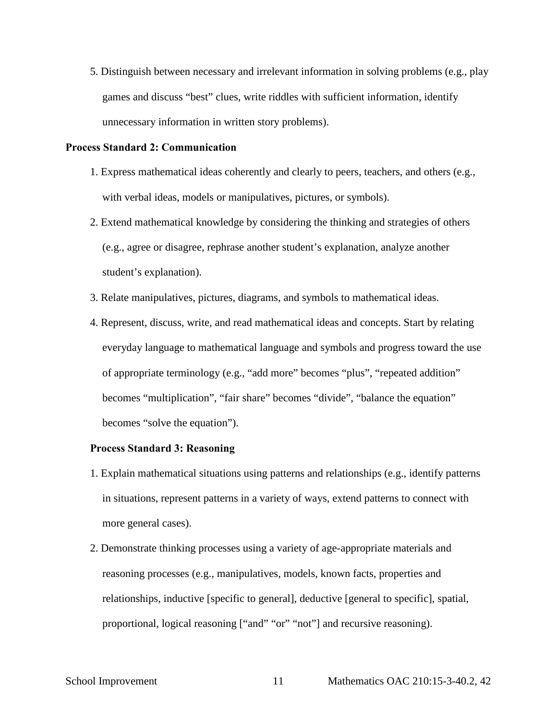5. Distinguish between necessary and irrelevant information in solving problems (e.g., play games and discuss "best" clues, write riddles with sufficient information, identify unnecessary information in written story problems).

#### **Process Standard 2: Communication**

- 1. Express mathematical ideas coherently and clearly to peers, teachers, and others (e.g., with verbal ideas, models or manipulatives, pictures, or symbols).
- 2. Extend mathematical knowledge by considering the thinking and strategies of others (e.g., agree or disagree, rephrase another student's explanation, analyze another student's explanation).
- 3. Relate manipulatives, pictures, diagrams, and symbols to mathematical ideas.
- 4. Represent, discuss, write, and read mathematical ideas and concepts. Start by relating everyday language to mathematical language and symbols and progress toward the use of appropriate terminology (e.g., "add more" becomes "plus", "repeated addition" becomes "multiplication", "fair share" becomes "divide", "balance the equation" becomes "solve the equation").

## **Process Standard 3: Reasoning**

- 1. Explain mathematical situations using patterns and relationships (e.g., identify patterns in situations, represent patterns in a variety of ways, extend patterns to connect with more general cases).
- 2. Demonstrate thinking processes using a variety of age-appropriate materials and reasoning processes (e.g., manipulatives, models, known facts, properties and relationships, inductive [specific to general], deductive [general to specific], spatial, proportional, logical reasoning ["and" "or" "not"] and recursive reasoning).

#### School Improvement 11 Mathematics OAC 210:15-3-40.2, 42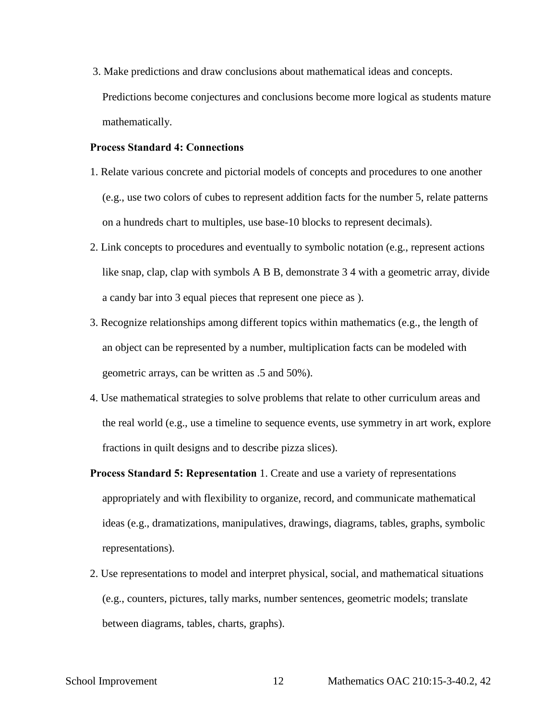3. Make predictions and draw conclusions about mathematical ideas and concepts. Predictions become conjectures and conclusions become more logical as students mature mathematically.

#### **Process Standard 4: Connections**

- 1. Relate various concrete and pictorial models of concepts and procedures to one another (e.g., use two colors of cubes to represent addition facts for the number 5, relate patterns on a hundreds chart to multiples, use base-10 blocks to represent decimals).
- 2. Link concepts to procedures and eventually to symbolic notation (e.g., represent actions like snap, clap, clap with symbols A B B, demonstrate 3 4 with a geometric array, divide a candy bar into 3 equal pieces that represent one piece as ).
- 3. Recognize relationships among different topics within mathematics (e.g., the length of an object can be represented by a number, multiplication facts can be modeled with geometric arrays, can be written as .5 and 50%).
- 4. Use mathematical strategies to solve problems that relate to other curriculum areas and the real world (e.g., use a timeline to sequence events, use symmetry in art work, explore fractions in quilt designs and to describe pizza slices).
- **Process Standard 5: Representation** 1. Create and use a variety of representations appropriately and with flexibility to organize, record, and communicate mathematical ideas (e.g., dramatizations, manipulatives, drawings, diagrams, tables, graphs, symbolic representations).
- 2. Use representations to model and interpret physical, social, and mathematical situations (e.g., counters, pictures, tally marks, number sentences, geometric models; translate between diagrams, tables, charts, graphs).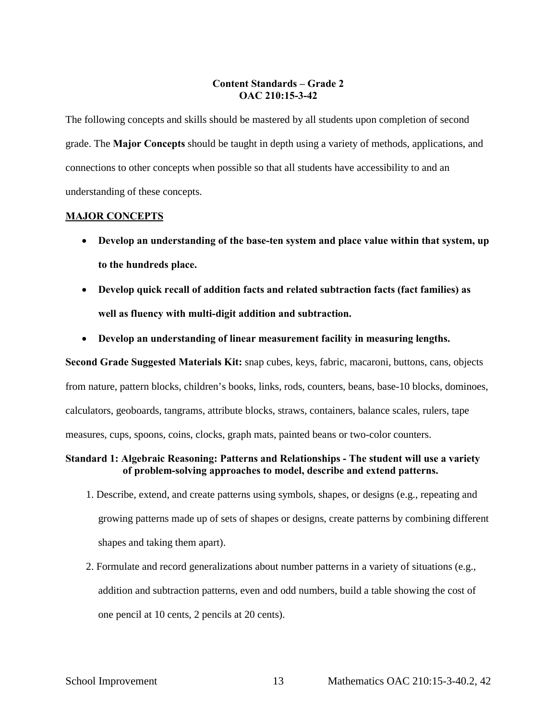## **Content Standards – Grade 2 OAC 210:15-3-42**

The following concepts and skills should be mastered by all students upon completion of second grade. The **Major Concepts** should be taught in depth using a variety of methods, applications, and connections to other concepts when possible so that all students have accessibility to and an understanding of these concepts.

#### **MAJOR CONCEPTS**

- **Develop an understanding of the base-ten system and place value within that system, up to the hundreds place.**
- **Develop quick recall of addition facts and related subtraction facts (fact families) as well as fluency with multi-digit addition and subtraction.**
- **Develop an understanding of linear measurement facility in measuring lengths.**

**Second Grade Suggested Materials Kit:** snap cubes, keys, fabric, macaroni, buttons, cans, objects from nature, pattern blocks, children's books, links, rods, counters, beans, base-10 blocks, dominoes, calculators, geoboards, tangrams, attribute blocks, straws, containers, balance scales, rulers, tape measures, cups, spoons, coins, clocks, graph mats, painted beans or two-color counters.

#### **Standard 1: Algebraic Reasoning: Patterns and Relationships - The student will use a variety of problem-solving approaches to model, describe and extend patterns.**

- 1. Describe, extend, and create patterns using symbols, shapes, or designs (e.g., repeating and growing patterns made up of sets of shapes or designs, create patterns by combining different shapes and taking them apart).
- 2. Formulate and record generalizations about number patterns in a variety of situations (e.g., addition and subtraction patterns, even and odd numbers, build a table showing the cost of one pencil at 10 cents, 2 pencils at 20 cents).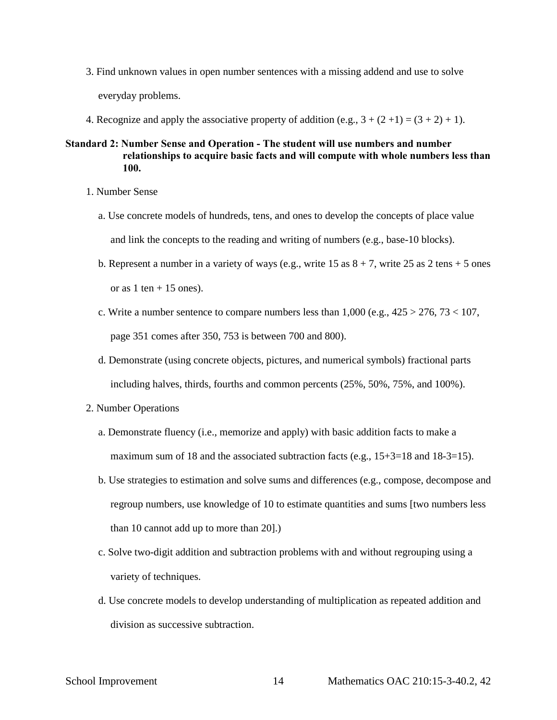- 3. Find unknown values in open number sentences with a missing addend and use to solve everyday problems.
- 4. Recognize and apply the associative property of addition (e.g.,  $3 + (2 + 1) = (3 + 2) + 1$ ).
- **Standard 2: Number Sense and Operation The student will use numbers and number relationships to acquire basic facts and will compute with whole numbers less than 100.** 
	- 1. Number Sense
		- a. Use concrete models of hundreds, tens, and ones to develop the concepts of place value and link the concepts to the reading and writing of numbers (e.g., base-10 blocks).
		- b. Represent a number in a variety of ways (e.g., write  $15$  as  $8 + 7$ , write  $25$  as  $2$  tens  $+ 5$  ones or as  $1 \text{ ten} + 15 \text{ ones}$ .
		- c. Write a number sentence to compare numbers less than  $1,000$  (e.g.,  $425 > 276$ ,  $73 < 107$ , page 351 comes after 350, 753 is between 700 and 800).
		- d. Demonstrate (using concrete objects, pictures, and numerical symbols) fractional parts including halves, thirds, fourths and common percents (25%, 50%, 75%, and 100%).
	- 2. Number Operations
		- a. Demonstrate fluency (i.e., memorize and apply) with basic addition facts to make a maximum sum of 18 and the associated subtraction facts (e.g.,  $15+3=18$  and  $18-3=15$ ).
		- b. Use strategies to estimation and solve sums and differences (e.g., compose, decompose and regroup numbers, use knowledge of 10 to estimate quantities and sums [two numbers less than 10 cannot add up to more than 20].)
		- c. Solve two-digit addition and subtraction problems with and without regrouping using a variety of techniques.
		- d. Use concrete models to develop understanding of multiplication as repeated addition and division as successive subtraction.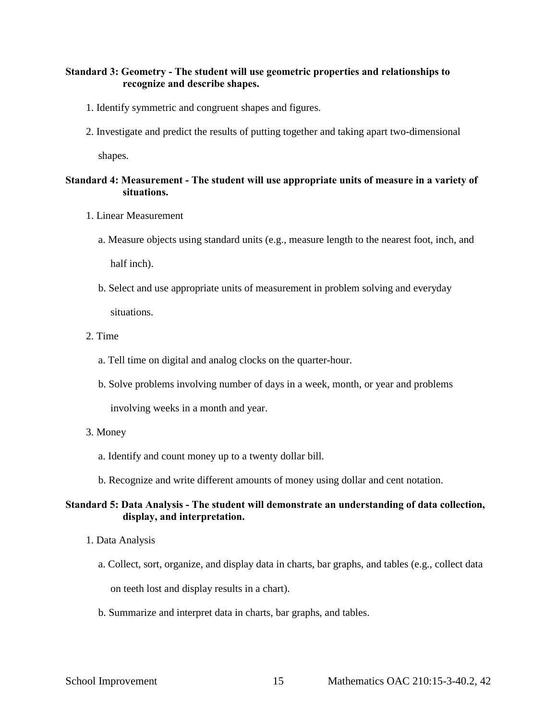## **Standard 3: Geometry - The student will use geometric properties and relationships to recognize and describe shapes.**

- 1. Identify symmetric and congruent shapes and figures.
- 2. Investigate and predict the results of putting together and taking apart two-dimensional

shapes.

## **Standard 4: Measurement - The student will use appropriate units of measure in a variety of situations.**

- 1. Linear Measurement
	- a. Measure objects using standard units (e.g., measure length to the nearest foot, inch, and half inch).
	- b. Select and use appropriate units of measurement in problem solving and everyday situations.
- 2. Time
	- a. Tell time on digital and analog clocks on the quarter-hour.
	- b. Solve problems involving number of days in a week, month, or year and problems

involving weeks in a month and year.

#### 3. Money

- a. Identify and count money up to a twenty dollar bill.
- b. Recognize and write different amounts of money using dollar and cent notation.

## **Standard 5: Data Analysis - The student will demonstrate an understanding of data collection, display, and interpretation.**

- 1. Data Analysis
	- a. Collect, sort, organize, and display data in charts, bar graphs, and tables (e.g., collect data

on teeth lost and display results in a chart).

b. Summarize and interpret data in charts, bar graphs, and tables.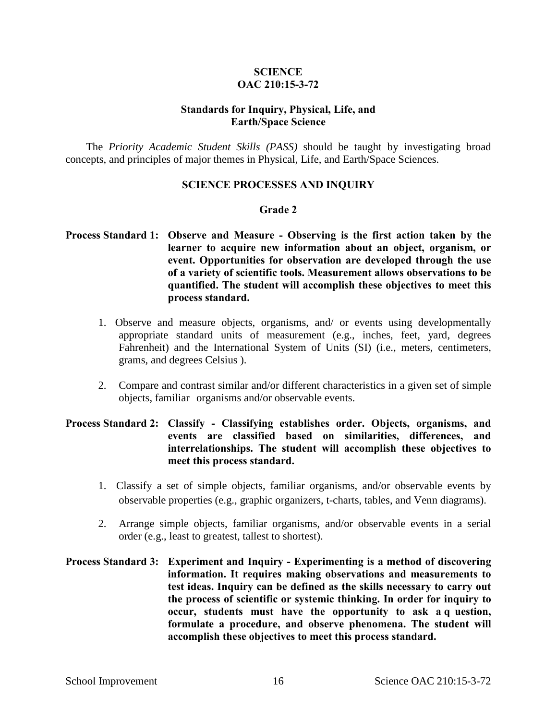## **SCIENCE OAC 210:15-3-72**

## **Standards for Inquiry, Physical, Life, and Earth/Space Science**

The *Priority Academic Student Skills (PASS)* should be taught by investigating broad concepts, and principles of major themes in Physical, Life, and Earth/Space Sciences.

## **SCIENCE PROCESSES AND INQUIRY**

## **Grade 2**

## **Process Standard 1: Observe and Measure - Observing is the first action taken by the learner to acquire new information about an object, organism, or event. Opportunities for observation are developed through the use of a variety of scientific tools. Measurement allows observations to be quantified. The student will accomplish these objectives to meet this process standard.**

- 1. Observe and measure objects, organisms, and/ or events using developmentally appropriate standard units of measurement (e.g., inches, feet, yard, degrees Fahrenheit) and the International System of Units (SI) (i.e., meters, centimeters, grams, and degrees Celsius ).
- 2. Compare and contrast similar and/or different characteristics in a given set of simple objects, familiar organisms and/or observable events.

## **Process Standard 2: Classify - Classifying establishes order. Objects, organisms, and events are classified based on similarities, differences, and interrelationships. The student will accomplish these objectives to meet this process standard.**

- 1. Classify a set of simple objects, familiar organisms, and/or observable events by observable properties (e.g., graphic organizers, t-charts, tables, and Venn diagrams).
- 2. Arrange simple objects, familiar organisms, and/or observable events in a serial order (e.g., least to greatest, tallest to shortest).

## **Process Standard 3: Experiment and Inquiry - Experimenting is a method of discovering information. It requires making observations and measurements to test ideas. Inquiry can be defined as the skills necessary to carry out the process of scientific or systemic thinking. In order for inquiry to occur, students must have the opportunity to ask a q uestion, formulate a procedure, and observe phenomena. The student will accomplish these objectives to meet this process standard.**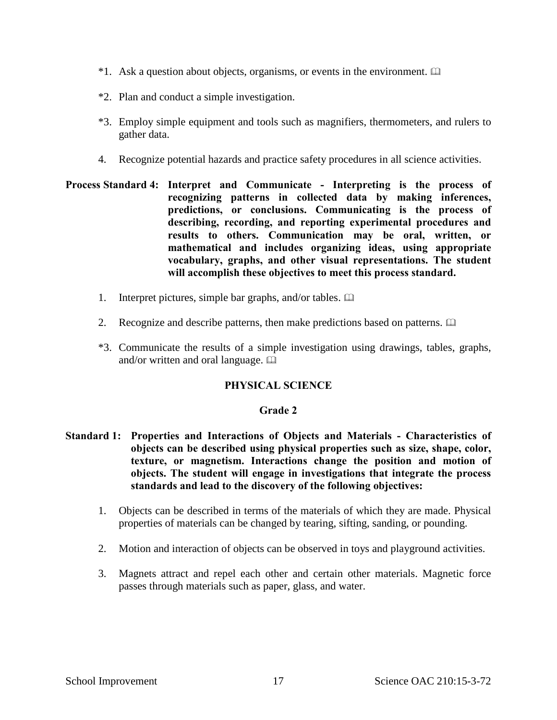- $*1$ . Ask a question about objects, organisms, or events in the environment.  $\Box$
- \*2. Plan and conduct a simple investigation.
- \*3. Employ simple equipment and tools such as magnifiers, thermometers, and rulers to gather data.
- 4. Recognize potential hazards and practice safety procedures in all science activities.
- **Process Standard 4: Interpret and Communicate Interpreting is the process of recognizing patterns in collected data by making inferences, predictions, or conclusions. Communicating is the process of describing, recording, and reporting experimental procedures and results to others. Communication may be oral, written, or mathematical and includes organizing ideas, using appropriate vocabulary, graphs, and other visual representations. The student will accomplish these objectives to meet this process standard.** 
	- 1. Interpret pictures, simple bar graphs, and/or tables.
	- 2. Recognize and describe patterns, then make predictions based on patterns.
	- \*3. Communicate the results of a simple investigation using drawings, tables, graphs, and/or written and oral language.  $\square$

## **PHYSICAL SCIENCE**

#### **Grade 2**

- **Standard 1: Properties and Interactions of Objects and Materials Characteristics of objects can be described using physical properties such as size, shape, color, texture, or magnetism. Interactions change the position and motion of objects. The student will engage in investigations that integrate the process standards and lead to the discovery of the following objectives:** 
	- 1. Objects can be described in terms of the materials of which they are made. Physical properties of materials can be changed by tearing, sifting, sanding, or pounding.
	- 2. Motion and interaction of objects can be observed in toys and playground activities.
	- 3. Magnets attract and repel each other and certain other materials. Magnetic force passes through materials such as paper, glass, and water.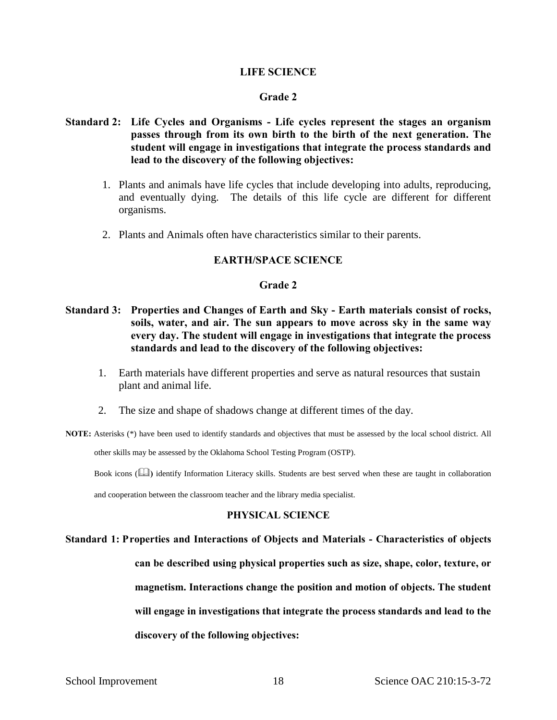#### **LIFE SCIENCE**

#### **Grade 2**

- **Standard 2: Life Cycles and Organisms Life cycles represent the stages an organism passes through from its own birth to the birth of the next generation. The student will engage in investigations that integrate the process standards and lead to the discovery of the following objectives:** 
	- 1. Plants and animals have life cycles that include developing into adults, reproducing, and eventually dying. The details of this life cycle are different for different organisms.
	- 2. Plants and Animals often have characteristics similar to their parents.

## **EARTH/SPACE SCIENCE**

#### **Grade 2**

- **Standard 3: Properties and Changes of Earth and Sky Earth materials consist of rocks, soils, water, and air. The sun appears to move across sky in the same way every day. The student will engage in investigations that integrate the process standards and lead to the discovery of the following objectives:** 
	- 1. Earth materials have different properties and serve as natural resources that sustain plant and animal life.
	- 2. The size and shape of shadows change at different times of the day.
- **NOTE:** Asterisks (\*) have been used to identify standards and objectives that must be assessed by the local school district. All

other skills may be assessed by the Oklahoma School Testing Program (OSTP).

Book icons (**)** identify Information Literacy skills. Students are best served when these are taught in collaboration

and cooperation between the classroom teacher and the library media specialist.

#### **PHYSICAL SCIENCE**

# **Standard 1: Properties and Interactions of Objects and Materials - Characteristics of objects can be described using physical properties such as size, shape, color, texture, or magnetism. Interactions change the position and motion of objects. The student will engage in investigations that integrate the process standards and lead to the discovery of the following objectives:**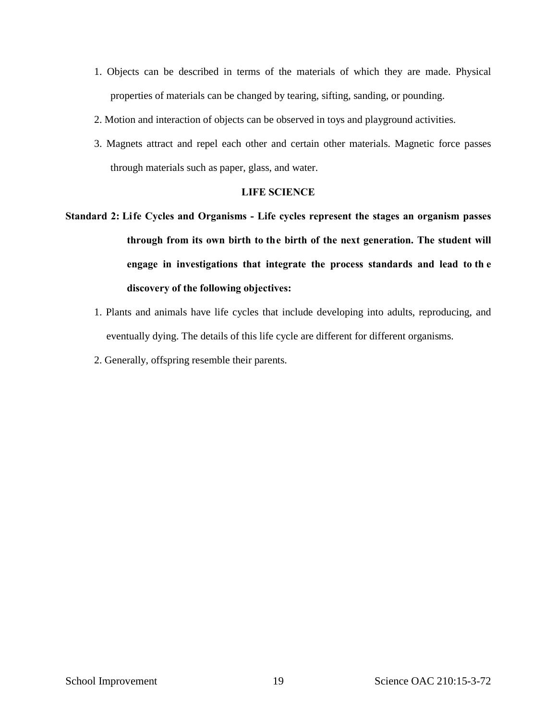- 1. Objects can be described in terms of the materials of which they are made. Physical properties of materials can be changed by tearing, sifting, sanding, or pounding.
- 2. Motion and interaction of objects can be observed in toys and playground activities.
- 3. Magnets attract and repel each other and certain other materials. Magnetic force passes through materials such as paper, glass, and water.

#### **LIFE SCIENCE**

- **Standard 2: Life Cycles and Organisms Life cycles represent the stages an organism passes through from its own birth to the birth of the next generation. The student will engage in investigations that integrate the process standards and lead to th e discovery of the following objectives:** 
	- 1. Plants and animals have life cycles that include developing into adults, reproducing, and eventually dying. The details of this life cycle are different for different organisms.
	- 2. Generally, offspring resemble their parents.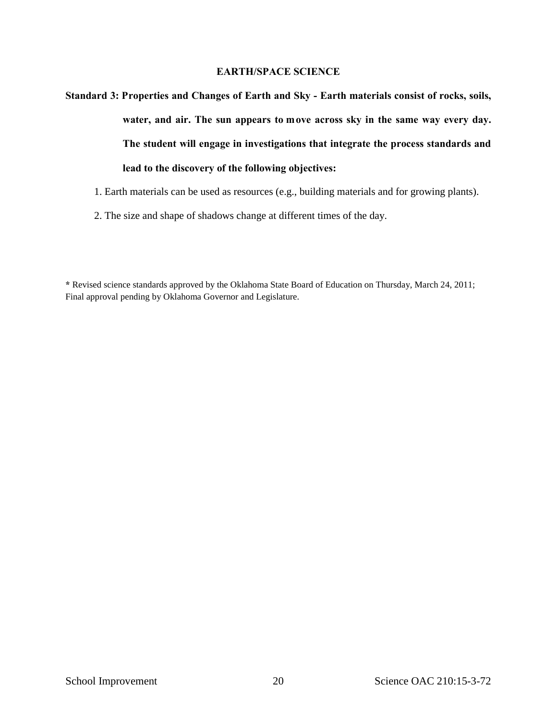## **EARTH/SPACE SCIENCE**

**Standard 3: Properties and Changes of Earth and Sky - Earth materials consist of rocks, soils, water, and air. The sun appears to move across sky in the same way every day. The student will engage in investigations that integrate the process standards and lead to the discovery of the following objectives:** 

- 1. Earth materials can be used as resources (e.g., building materials and for growing plants).
- 2. The size and shape of shadows change at different times of the day.

**\*** Revised science standards approved by the Oklahoma State Board of Education on Thursday, March 24, 2011; Final approval pending by Oklahoma Governor and Legislature.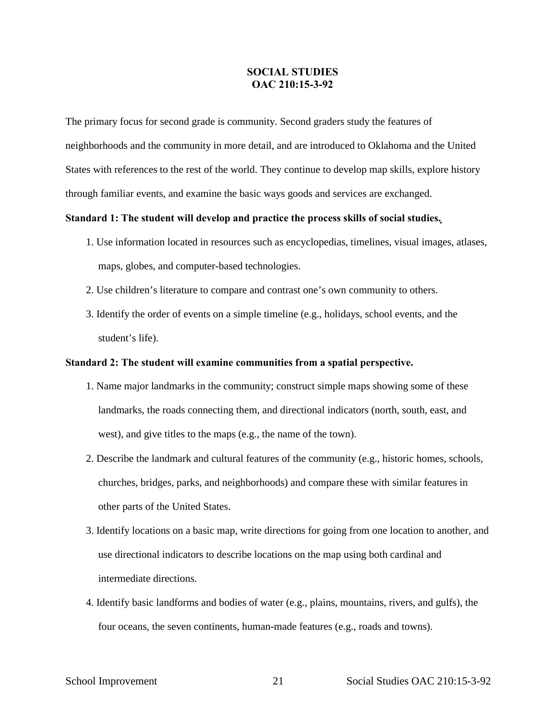## **SOCIAL STUDIES OAC 210:15-3-92**

The primary focus for second grade is community. Second graders study the features of neighborhoods and the community in more detail, and are introduced to Oklahoma and the United States with references to the rest of the world. They continue to develop map skills, explore history through familiar events, and examine the basic ways goods and services are exchanged.

#### **Standard 1: The student will develop and practice the process skills of social studies.**

- 1. Use information located in resources such as encyclopedias, timelines, visual images, atlases, maps, globes, and computer-based technologies.
- 2. Use children's literature to compare and contrast one's own community to others.
- 3. Identify the order of events on a simple timeline (e.g., holidays, school events, and the student's life).

#### **Standard 2: The student will examine communities from a spatial perspective.**

- 1. Name major landmarks in the community; construct simple maps showing some of these landmarks, the roads connecting them, and directional indicators (north, south, east, and west), and give titles to the maps (e.g., the name of the town).
- 2. Describe the landmark and cultural features of the community (e.g., historic homes, schools, churches, bridges, parks, and neighborhoods) and compare these with similar features in other parts of the United States.
- 3. Identify locations on a basic map, write directions for going from one location to another, and use directional indicators to describe locations on the map using both cardinal and intermediate directions.
- 4. Identify basic landforms and bodies of water (e.g., plains, mountains, rivers, and gulfs), the four oceans, the seven continents, human-made features (e.g., roads and towns).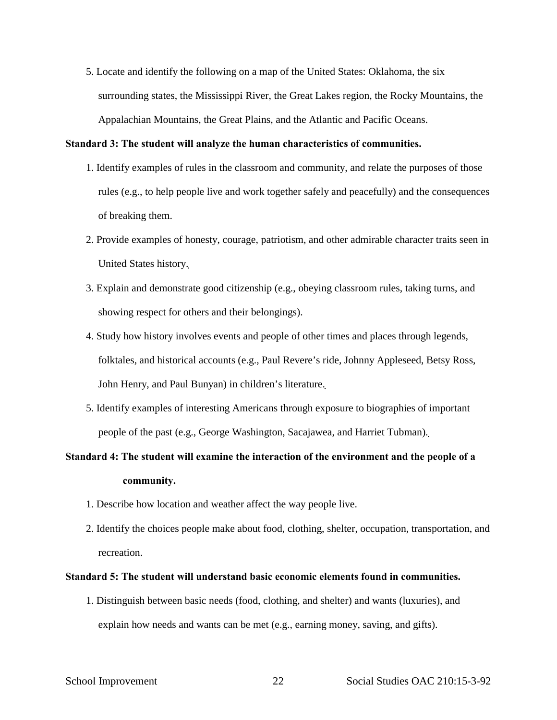5. Locate and identify the following on a map of the United States: Oklahoma, the six surrounding states, the Mississippi River, the Great Lakes region, the Rocky Mountains, the Appalachian Mountains, the Great Plains, and the Atlantic and Pacific Oceans.

#### **Standard 3: The student will analyze the human characteristics of communities.**

- 1. Identify examples of rules in the classroom and community, and relate the purposes of those rules (e.g., to help people live and work together safely and peacefully) and the consequences of breaking them.
- 2. Provide examples of honesty, courage, patriotism, and other admirable character traits seen in United States history.
- 3. Explain and demonstrate good citizenship (e.g., obeying classroom rules, taking turns, and showing respect for others and their belongings).
- 4. Study how history involves events and people of other times and places through legends, folktales, and historical accounts (e.g., Paul Revere's ride, Johnny Appleseed, Betsy Ross, John Henry, and Paul Bunyan) in children's literature.
- 5. Identify examples of interesting Americans through exposure to biographies of important people of the past (e.g., George Washington, Sacajawea, and Harriet Tubman).

## **Standard 4: The student will examine the interaction of the environment and the people of a community.**

- 1. Describe how location and weather affect the way people live.
- 2. Identify the choices people make about food, clothing, shelter, occupation, transportation, and recreation.

#### **Standard 5: The student will understand basic economic elements found in communities.**

1. Distinguish between basic needs (food, clothing, and shelter) and wants (luxuries), and explain how needs and wants can be met (e.g., earning money, saving, and gifts).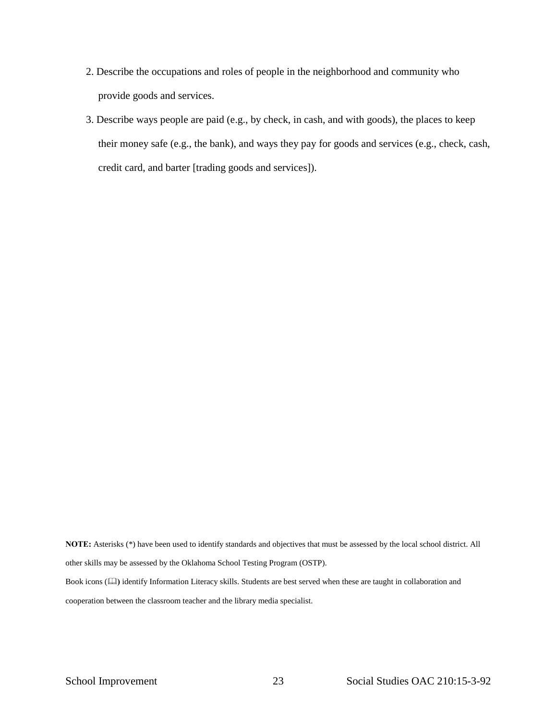- 2. Describe the occupations and roles of people in the neighborhood and community who provide goods and services.
- 3. Describe ways people are paid (e.g., by check, in cash, and with goods), the places to keep their money safe (e.g., the bank), and ways they pay for goods and services (e.g., check, cash, credit card, and barter [trading goods and services]).

**NOTE:** Asterisks (\*) have been used to identify standards and objectives that must be assessed by the local school district. All other skills may be assessed by the Oklahoma School Testing Program (OSTP). Book icons ( $\Box$ ) identify Information Literacy skills. Students are best served when these are taught in collaboration and cooperation between the classroom teacher and the library media specialist.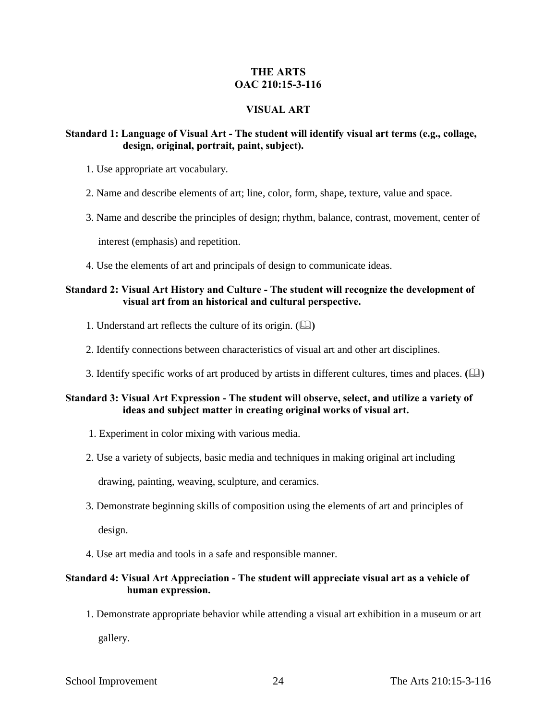## **THE ARTS OAC 210:15-3-116**

## **VISUAL ART**

## **Standard 1: Language of Visual Art - The student will identify visual art terms (e.g., collage, design, original, portrait, paint, subject).**

- 1. Use appropriate art vocabulary.
- 2. Name and describe elements of art; line, color, form, shape, texture, value and space.
- 3. Name and describe the principles of design; rhythm, balance, contrast, movement, center of

interest (emphasis) and repetition.

4. Use the elements of art and principals of design to communicate ideas.

## **Standard 2: Visual Art History and Culture - The student will recognize the development of visual art from an historical and cultural perspective.**

- 1. Understand art reflects the culture of its origin.  $(\Box)$
- 2. Identify connections between characteristics of visual art and other art disciplines.
- 3. Identify specific works of art produced by artists in different cultures, times and places. **()**

## **Standard 3: Visual Art Expression - The student will observe, select, and utilize a variety of ideas and subject matter in creating original works of visual art.**

- 1. Experiment in color mixing with various media.
- 2. Use a variety of subjects, basic media and techniques in making original art including

drawing, painting, weaving, sculpture, and ceramics.

3. Demonstrate beginning skills of composition using the elements of art and principles of

design.

4. Use art media and tools in a safe and responsible manner.

## **Standard 4: Visual Art Appreciation - The student will appreciate visual art as a vehicle of human expression.**

1. Demonstrate appropriate behavior while attending a visual art exhibition in a museum or art gallery.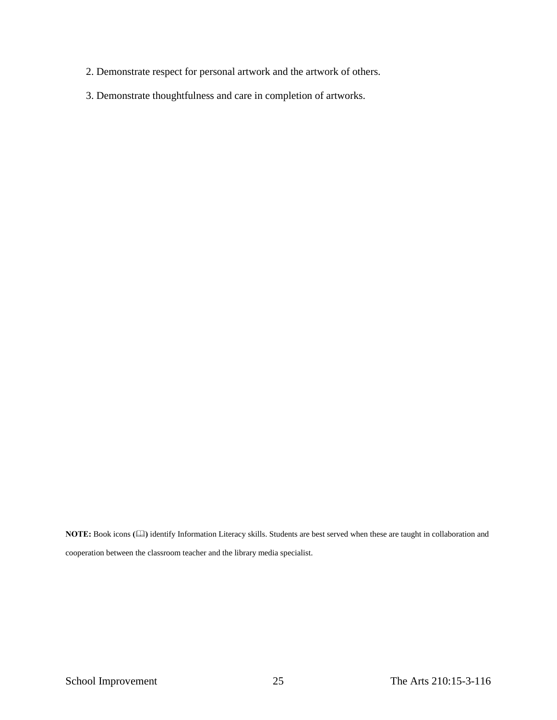- 2. Demonstrate respect for personal artwork and the artwork of others.
- 3. Demonstrate thoughtfulness and care in completion of artworks.

**NOTE:** Book icons **()** identify Information Literacy skills. Students are best served when these are taught in collaboration and cooperation between the classroom teacher and the library media specialist.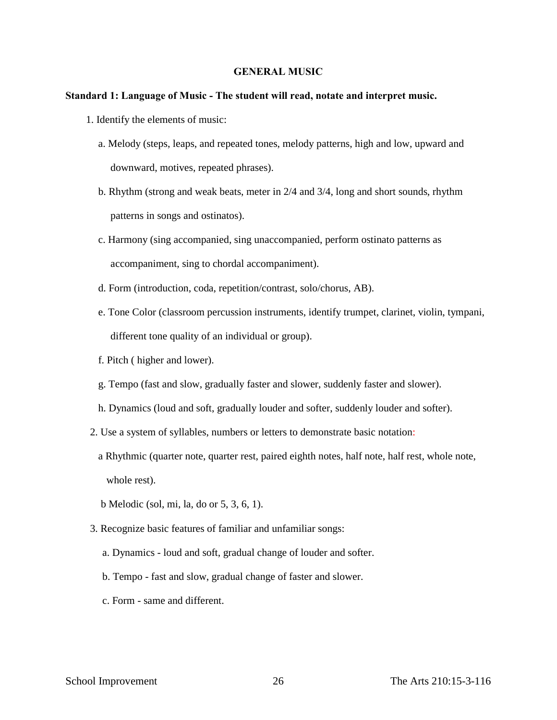#### **GENERAL MUSIC**

#### **Standard 1: Language of Music - The student will read, notate and interpret music.**

- 1. Identify the elements of music:
	- a. Melody (steps, leaps, and repeated tones, melody patterns, high and low, upward and downward, motives, repeated phrases).
	- b. Rhythm (strong and weak beats, meter in 2/4 and 3/4, long and short sounds, rhythm patterns in songs and ostinatos).
	- c. Harmony (sing accompanied, sing unaccompanied, perform ostinato patterns as accompaniment, sing to chordal accompaniment).
	- d. Form (introduction, coda, repetition/contrast, solo/chorus, AB).
	- e. Tone Color (classroom percussion instruments, identify trumpet, clarinet, violin, tympani, different tone quality of an individual or group).
	- f. Pitch ( higher and lower).
	- g. Tempo (fast and slow, gradually faster and slower, suddenly faster and slower).
	- h. Dynamics (loud and soft, gradually louder and softer, suddenly louder and softer).
- 2. Use a system of syllables, numbers or letters to demonstrate basic notation:
	- a Rhythmic (quarter note, quarter rest, paired eighth notes, half note, half rest, whole note, whole rest).
	- b Melodic (sol, mi, la, do or 5, 3, 6, 1).
- 3. Recognize basic features of familiar and unfamiliar songs:
	- a. Dynamics loud and soft, gradual change of louder and softer.
	- b. Tempo fast and slow, gradual change of faster and slower.
	- c. Form same and different.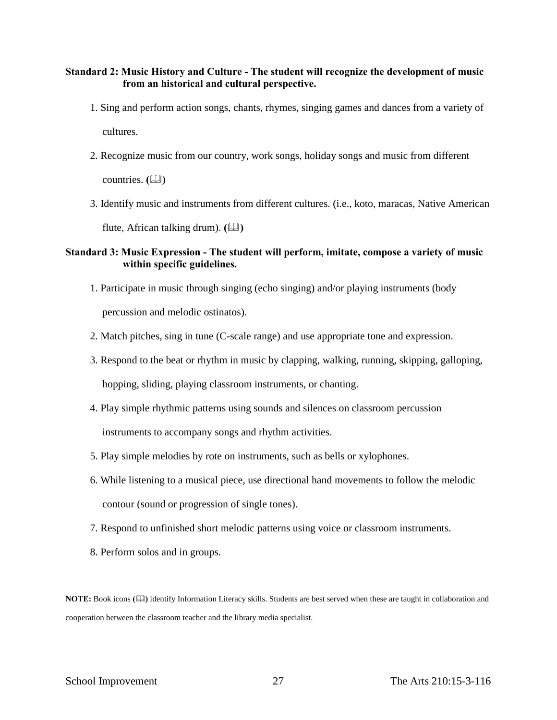## **Standard 2: Music History and Culture - The student will recognize the development of music from an historical and cultural perspective.**

- 1. Sing and perform action songs, chants, rhymes, singing games and dances from a variety of cultures.
- 2. Recognize music from our country, work songs, holiday songs and music from different

countries. **(** $\Box$ )

3. Identify music and instruments from different cultures. (i.e., koto, maracas, Native American

flute, African talking drum).  $(\Box)$ 

## **Standard 3: Music Expression - The student will perform, imitate, compose a variety of music within specific guidelines.**

- 1. Participate in music through singing (echo singing) and/or playing instruments (body percussion and melodic ostinatos).
- 2. Match pitches, sing in tune (C-scale range) and use appropriate tone and expression.
- 3. Respond to the beat or rhythm in music by clapping, walking, running, skipping, galloping, hopping, sliding, playing classroom instruments, or chanting.
- 4. Play simple rhythmic patterns using sounds and silences on classroom percussion instruments to accompany songs and rhythm activities.
- 5. Play simple melodies by rote on instruments, such as bells or xylophones.
- 6. While listening to a musical piece, use directional hand movements to follow the melodic contour (sound or progression of single tones).
- 7. Respond to unfinished short melodic patterns using voice or classroom instruments.
- 8. Perform solos and in groups.

**NOTE:** Book icons **()** identify Information Literacy skills. Students are best served when these are taught in collaboration and cooperation between the classroom teacher and the library media specialist.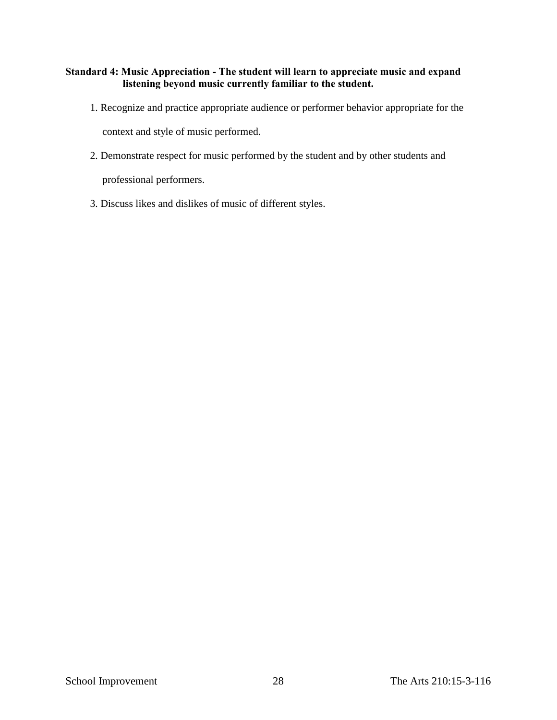## **Standard 4: Music Appreciation - The student will learn to appreciate music and expand listening beyond music currently familiar to the student.**

- 1. Recognize and practice appropriate audience or performer behavior appropriate for the context and style of music performed.
- 2. Demonstrate respect for music performed by the student and by other students and

professional performers.

3. Discuss likes and dislikes of music of different styles.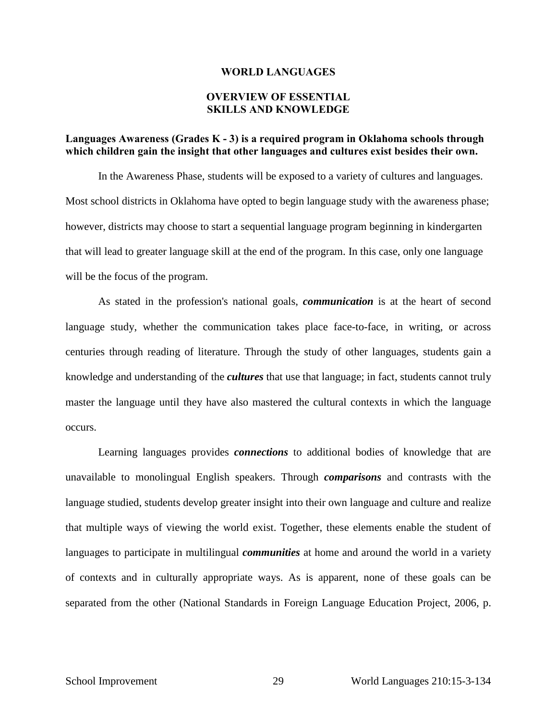#### **WORLD LANGUAGES**

## **OVERVIEW OF ESSENTIAL SKILLS AND KNOWLEDGE**

## **Languages Awareness (Grades K - 3) is a required program in Oklahoma schools through which children gain the insight that other languages and cultures exist besides their own.**

In the Awareness Phase, students will be exposed to a variety of cultures and languages. Most school districts in Oklahoma have opted to begin language study with the awareness phase; however, districts may choose to start a sequential language program beginning in kindergarten that will lead to greater language skill at the end of the program. In this case, only one language will be the focus of the program.

As stated in the profession's national goals, *communication* is at the heart of second language study, whether the communication takes place face-to-face, in writing, or across centuries through reading of literature. Through the study of other languages, students gain a knowledge and understanding of the *cultures* that use that language; in fact, students cannot truly master the language until they have also mastered the cultural contexts in which the language occurs.

Learning languages provides *connections* to additional bodies of knowledge that are unavailable to monolingual English speakers. Through *comparisons* and contrasts with the language studied, students develop greater insight into their own language and culture and realize that multiple ways of viewing the world exist. Together, these elements enable the student of languages to participate in multilingual *communities* at home and around the world in a variety of contexts and in culturally appropriate ways. As is apparent, none of these goals can be separated from the other (National Standards in Foreign Language Education Project, 2006, p.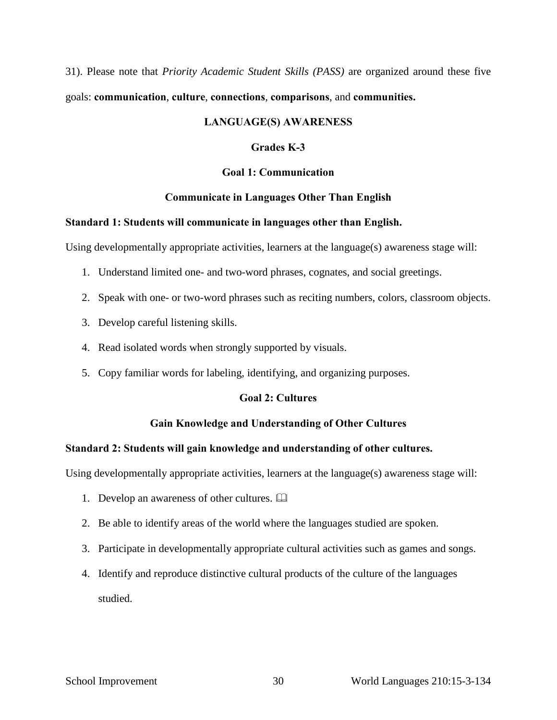31). Please note that *Priority Academic Student Skills (PASS)* are organized around these five goals: **communication**, **culture**, **connections**, **comparisons**, and **communities.**

## **LANGUAGE(S) AWARENESS**

## **Grades K-3**

## **Goal 1: Communication**

## **Communicate in Languages Other Than English**

## **Standard 1: Students will communicate in languages other than English.**

Using developmentally appropriate activities, learners at the language(s) awareness stage will:

- 1. Understand limited one- and two-word phrases, cognates, and social greetings.
- 2. Speak with one- or two-word phrases such as reciting numbers, colors, classroom objects.
- 3. Develop careful listening skills.
- 4. Read isolated words when strongly supported by visuals.
- 5. Copy familiar words for labeling, identifying, and organizing purposes.

## **Goal 2: Cultures**

## **Gain Knowledge and Understanding of Other Cultures**

## **Standard 2: Students will gain knowledge and understanding of other cultures.**

Using developmentally appropriate activities, learners at the language(s) awareness stage will:

- 1. Develop an awareness of other cultures.
- 2. Be able to identify areas of the world where the languages studied are spoken.
- 3. Participate in developmentally appropriate cultural activities such as games and songs.
- 4. Identify and reproduce distinctive cultural products of the culture of the languages studied.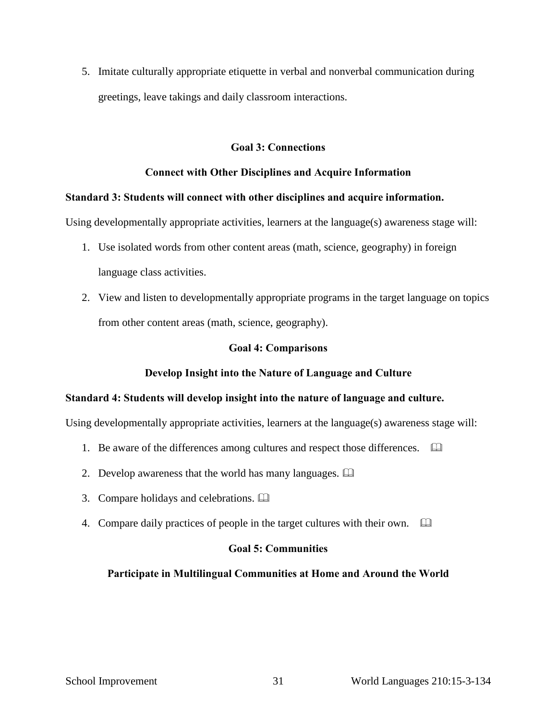5. Imitate culturally appropriate etiquette in verbal and nonverbal communication during greetings, leave takings and daily classroom interactions.

## **Goal 3: Connections**

## **Connect with Other Disciplines and Acquire Information**

## **Standard 3: Students will connect with other disciplines and acquire information.**

Using developmentally appropriate activities, learners at the language(s) awareness stage will:

- 1. Use isolated words from other content areas (math, science, geography) in foreign language class activities.
- 2. View and listen to developmentally appropriate programs in the target language on topics from other content areas (math, science, geography).

## **Goal 4: Comparisons**

## **Develop Insight into the Nature of Language and Culture**

## **Standard 4: Students will develop insight into the nature of language and culture.**

Using developmentally appropriate activities, learners at the language(s) awareness stage will:

- 1. Be aware of the differences among cultures and respect those differences.  $\Box$
- 2. Develop awareness that the world has many languages.
- 3. Compare holidays and celebrations.
- 4. Compare daily practices of people in the target cultures with their own.

## **Goal 5: Communities**

## **Participate in Multilingual Communities at Home and Around the World**